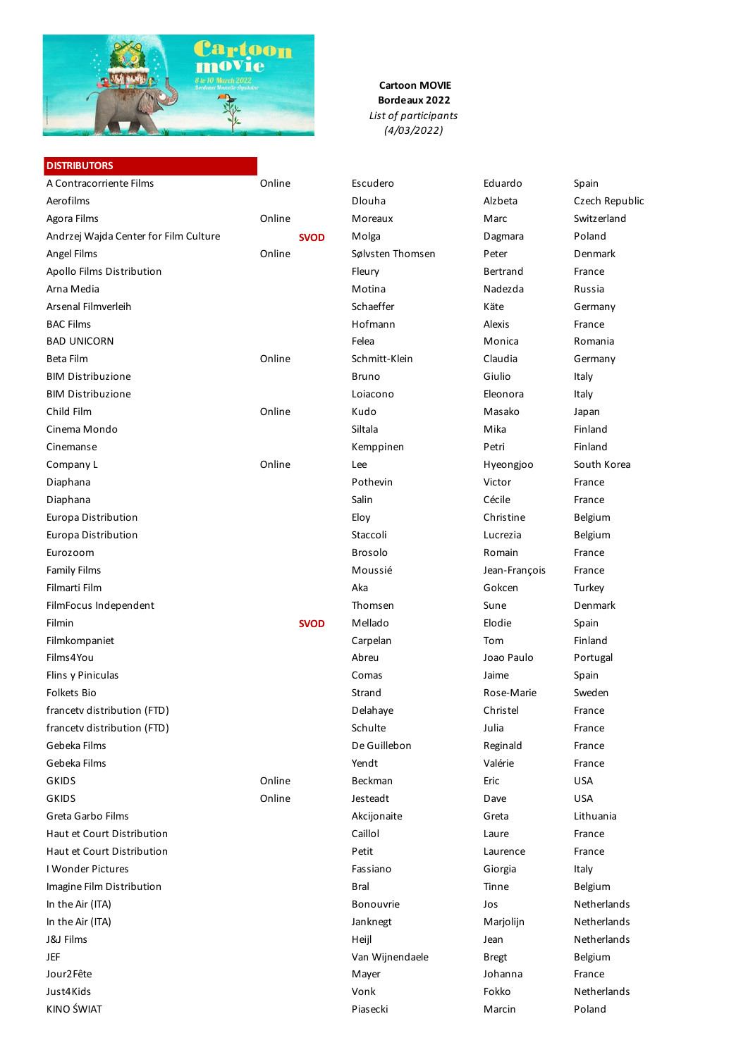

# **Cartoon MOVIE Bordeaux 2022** *List of participants (4/03/2022)*

| <b>DISTRIBUTORS</b>                   |        |             |                  |               |                |
|---------------------------------------|--------|-------------|------------------|---------------|----------------|
| A Contracorriente Films               | Online |             | Escudero         | Eduardo       | Spain          |
| Aerofilms                             |        |             | Dlouha           | Alzbeta       | Czech Republic |
| Agora Films                           | Online |             | Moreaux          | Marc          | Switzerland    |
| Andrzej Wajda Center for Film Culture |        | <b>SVOD</b> | Molga            | Dagmara       | Poland         |
| Angel Films                           | Online |             | Sølvsten Thomsen | Peter         | Denmark        |
| Apollo Films Distribution             |        |             | Fleury           | Bertrand      | France         |
| Arna Media                            |        |             | Motina           | Nadezda       | Russia         |
| Arsenal Filmverleih                   |        |             | Schaeffer        | Käte          | Germany        |
| <b>BAC Films</b>                      |        |             | Hofmann          | Alexis        | France         |
| <b>BAD UNICORN</b>                    |        |             | Felea            | Monica        | Romania        |
| Beta Film                             | Online |             | Schmitt-Klein    | Claudia       | Germany        |
| <b>BIM Distribuzione</b>              |        |             | <b>Bruno</b>     | Giulio        | Italy          |
| <b>BIM Distribuzione</b>              |        |             | Loiacono         | Eleonora      | Italy          |
| Child Film                            | Online |             | Kudo             | Masako        | Japan          |
| Cinema Mondo                          |        |             | Siltala          | Mika          | Finland        |
| Cinemanse                             |        |             | Kemppinen        | Petri         | Finland        |
| Company L                             | Online |             | Lee              | Hyeongjoo     | South Korea    |
| Diaphana                              |        |             | Pothevin         | Victor        | France         |
| Diaphana                              |        |             | Salin            | Cécile        | France         |
| Europa Distribution                   |        |             | Eloy             | Christine     | Belgium        |
| Europa Distribution                   |        |             | Staccoli         | Lucrezia      | Belgium        |
| Eurozoom                              |        |             | <b>Brosolo</b>   | Romain        | France         |
| <b>Family Films</b>                   |        |             | Moussié          | Jean-François | France         |
| Filmarti Film                         |        |             | Aka              | Gokcen        | Turkey         |
| FilmFocus Independent                 |        |             | Thomsen          | Sune          | Denmark        |
| Filmin                                |        | <b>SVOD</b> | Mellado          | Elodie        | Spain          |
| Filmkompaniet                         |        |             | Carpelan         | Tom           | Finland        |
| Films4You                             |        |             | Abreu            | Joao Paulo    | Portugal       |
| Flins y Piniculas                     |        |             | Comas            | Jaime         | Spain          |
| Folkets Bio                           |        |             | Strand           | Rose-Marie    | Sweden         |
| francetv distribution (FTD)           |        |             | Delahaye         | Christel      | France         |
| francetv distribution (FTD)           |        |             | Schulte          | Julia         | France         |
| Gebeka Films                          |        |             | De Guillebon     | Reginald      | France         |
| Gebeka Films                          |        |             | Yendt            | Valérie       | France         |
| <b>GKIDS</b>                          | Online |             | Beckman          | Eric          | <b>USA</b>     |
| <b>GKIDS</b>                          | Online |             | Jesteadt         | Dave          | <b>USA</b>     |
| Greta Garbo Films                     |        |             | Akcijonaite      | Greta         | Lithuania      |
| Haut et Court Distribution            |        |             | Caillol          | Laure         | France         |
| Haut et Court Distribution            |        |             | Petit            | Laurence      | France         |
| I Wonder Pictures                     |        |             | Fassiano         | Giorgia       | Italy          |
| Imagine Film Distribution             |        |             | <b>Bral</b>      | Tinne         | Belgium        |
| In the Air (ITA)                      |        |             | Bonouvrie        | Jos           | Netherlands    |
| In the Air (ITA)                      |        |             | Janknegt         | Marjolijn     | Netherlands    |
| <b>J&amp;J Films</b>                  |        |             | Heijl            | Jean          | Netherlands    |
| <b>JEF</b>                            |        |             | Van Wijnendaele  | <b>Bregt</b>  | Belgium        |
| Jour2Fête                             |        |             | Mayer            | Johanna       | France         |
| Just4Kids                             |        |             | Vonk             | Fokko         | Netherlands    |
| KINO ŚWIAT                            |        |             | Piasecki         | Marcin        | Poland         |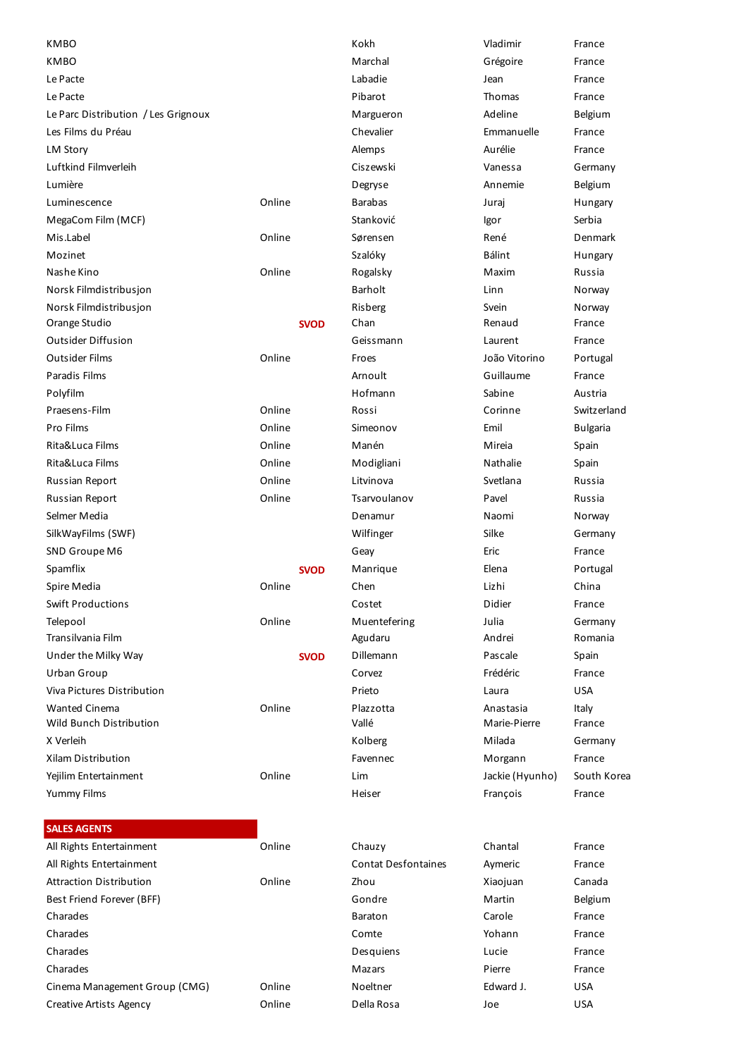| <b>KMBO</b>                         |        |             | Kokh                       | Vladimir        | France          |
|-------------------------------------|--------|-------------|----------------------------|-----------------|-----------------|
| <b>KMBO</b>                         |        |             | Marchal                    | Grégoire        | France          |
| Le Pacte                            |        |             | Labadie                    | Jean            | France          |
| Le Pacte                            |        |             | Pibarot                    | <b>Thomas</b>   | France          |
| Le Parc Distribution / Les Grignoux |        |             | Margueron                  | Adeline         | Belgium         |
| Les Films du Préau                  |        |             | Chevalier                  | Emmanuelle      | France          |
| <b>LM Story</b>                     |        |             | Alemps                     | Aurélie         | France          |
| Luftkind Filmverleih                |        |             | <b>Ciszewski</b>           | Vanessa         | Germany         |
| Lumière                             |        |             | Degryse                    | Annemie         | Belgium         |
| Luminescence                        | Online |             | <b>Barabas</b>             | Juraj           | Hungary         |
| MegaCom Film (MCF)                  |        |             | Stanković                  | Igor            | Serbia          |
| Mis.Label                           | Online |             | Sørensen                   | René            | Denmark         |
| Mozinet                             |        |             | Szalóky                    | <b>Bálint</b>   | Hungary         |
| Nashe Kino                          | Online |             | Rogalsky                   | Maxim           | Russia          |
| Norsk Filmdistribusjon              |        |             | <b>Barholt</b>             | Linn            | Norway          |
| Norsk Filmdistribusjon              |        |             | Risberg                    | Svein           | Norway          |
| Orange Studio                       |        | <b>SVOD</b> | Chan                       | Renaud          | France          |
| <b>Outsider Diffusion</b>           |        |             | Geissmann                  | Laurent         | France          |
| <b>Outsider Films</b>               | Online |             | Froes                      | João Vitorino   | Portugal        |
| Paradis Films                       |        |             | Arnoult                    | Guillaume       | France          |
| Polyfilm                            |        |             | Hofmann                    | Sabine          | Austria         |
| Praesens-Film                       | Online |             | Rossi                      | Corinne         | Switzerland     |
| Pro Films                           | Online |             | Simeonov                   | Emil            | <b>Bulgaria</b> |
| Rita&Luca Films                     | Online |             | Manén                      | Mireia          | Spain           |
| Rita&Luca Films                     | Online |             | Modigliani                 | Nathalie        | Spain           |
| <b>Russian Report</b>               | Online |             | Litvinova                  | Svetlana        | Russia          |
| <b>Russian Report</b>               | Online |             | Tsarvoulanov               | Pavel           | Russia          |
| Selmer Media                        |        |             | Denamur                    | Naomi           | Norway          |
| SilkWayFilms (SWF)                  |        |             | Wilfinger                  | Silke           | Germany         |
| SND Groupe M6                       |        |             | Geay                       | Eric            | France          |
| Spamflix                            |        | <b>SVOD</b> | Manrique                   | Elena           | Portugal        |
| Spire Media                         | Online |             | Chen                       | Lizhi           | China           |
| <b>Swift Productions</b>            |        |             | Costet                     | Didier          | France          |
| Telepool                            | Online |             | Muentefering               | Julia           | Germany         |
| Transilvania Film                   |        |             | Agudaru                    | Andrei          | Romania         |
| Under the Milky Way                 |        | <b>SVOD</b> | Dillemann                  | Pascale         | Spain           |
| Urban Group                         |        |             | Corvez                     | Frédéric        | France          |
| Viva Pictures Distribution          |        |             | Prieto                     | Laura           | <b>USA</b>      |
| <b>Wanted Cinema</b>                | Online |             | Plazzotta                  | Anastasia       | Italy           |
| <b>Wild Bunch Distribution</b>      |        |             | Vallé                      | Marie-Pierre    | France          |
| X Verleih                           |        |             | Kolberg                    | Milada          | Germany         |
| <b>Xilam Distribution</b>           |        |             | Favennec                   | Morgann         | France          |
| Yejilim Entertainment               | Online |             | Lim                        | Jackie (Hyunho) | South Korea     |
| <b>Yummy Films</b>                  |        |             | Heiser                     | François        | France          |
| <b>SALES AGENTS</b>                 |        |             |                            |                 |                 |
| All Rights Entertainment            | Online |             | Chauzy                     | Chantal         | France          |
| All Rights Entertainment            |        |             | <b>Contat Desfontaines</b> | Aymeric         | France          |
| <b>Attraction Distribution</b>      | Online |             | Zhou                       | Xiaojuan        | Canada          |
| Best Friend Forever (BFF)           |        |             | Gondre                     | Martin          | Belgium         |
| Charades                            |        |             | Baraton                    | Carole          | France          |
| Charades                            |        |             | Comte                      | Yohann          | France          |
| Charades                            |        |             | Desquiens                  | Lucie           | France          |
| Charades                            |        |             | Mazars                     | Pierre          | France          |
| Cinema Management Group (CMG)       | Online |             | Noeltner                   | Edward J.       | <b>USA</b>      |
| <b>Creative Artists Agency</b>      | Online |             | Della Rosa                 | Joe             | <b>USA</b>      |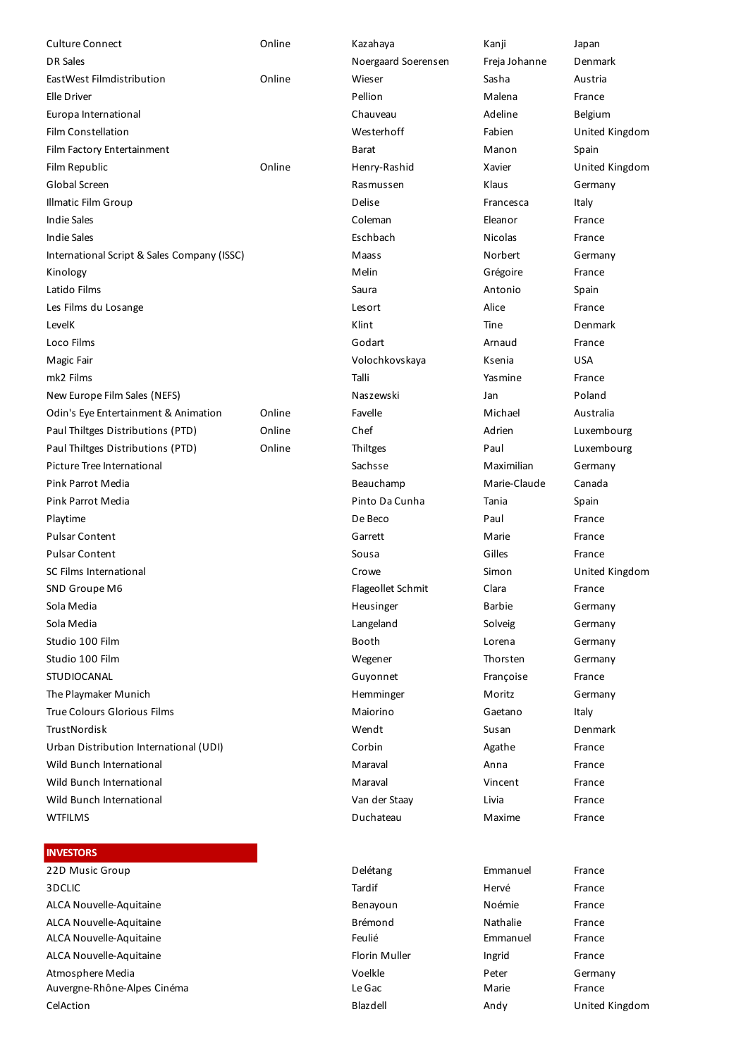| <b>Culture Connect</b>                      | Online | Kazahaya            | Kanji          | Japan          |
|---------------------------------------------|--------|---------------------|----------------|----------------|
| <b>DR Sales</b>                             |        | Noergaard Soerensen | Freja Johanne  | Denmark        |
| EastWest Filmdistribution                   | Online | Wieser              | Sasha          | Austria        |
| Elle Driver                                 |        | Pellion             | Malena         | France         |
| Europa International                        |        | Chauveau            | Adeline        |                |
|                                             |        |                     | Fabien         | Belgium        |
| Film Constellation                          |        | Westerhoff          |                | United Kingdom |
| Film Factory Entertainment                  |        | Barat               | Manon          | Spain          |
| Film Republic                               | Online | Henry-Rashid        | Xavier         | United Kingdom |
| Global Screen                               |        | Rasmussen           | Klaus          | Germany        |
| <b>Illmatic Film Group</b>                  |        | Delise              | Francesca      | Italy          |
| <b>Indie Sales</b>                          |        | Coleman             | Eleanor        | France         |
| <b>Indie Sales</b>                          |        | Eschbach            | <b>Nicolas</b> | France         |
| International Script & Sales Company (ISSC) |        | <b>Maass</b>        | Norbert        | Germany        |
| Kinology                                    |        | Melin               | Grégoire       | France         |
| Latido Films                                |        | Saura               | Antonio        | Spain          |
| Les Films du Losange                        |        | Lesort              | Alice          | France         |
| LevelK                                      |        | Klint               | Tine           | Denmark        |
| Loco Films                                  |        | Godart              | Arnaud         | France         |
| Magic Fair                                  |        | Volochkovskaya      | Ksenia         | <b>USA</b>     |
| mk2 Films                                   |        | Talli               | Yasmine        | France         |
| New Europe Film Sales (NEFS)                |        | Naszewski           | Jan            | Poland         |
| Odin's Eye Entertainment & Animation        | Online | Favelle             | Michael        | Australia      |
| Paul Thiltges Distributions (PTD)           | Online | Chef                | Adrien         | Luxembourg     |
| Paul Thiltges Distributions (PTD)           | Online | Thiltges            | Paul           | Luxembourg     |
| Picture Tree International                  |        | Sachsse             | Maximilian     | Germany        |
| Pink Parrot Media                           |        | Beauchamp           | Marie-Claude   | Canada         |
| Pink Parrot Media                           |        | Pinto Da Cunha      | Tania          | Spain          |
| Playtime                                    |        | De Beco             | Paul           | France         |
| <b>Pulsar Content</b>                       |        | Garrett             | Marie          | France         |
| <b>Pulsar Content</b>                       |        | Sousa               | Gilles         | France         |
| SC Films International                      |        | Crowe               | Simon          | United Kingdom |
| SND Groupe M6                               |        | Flageollet Schmit   | Clara          | France         |
| Sola Media                                  |        | Heusinger           | <b>Barbie</b>  | Germany        |
| Sola Media                                  |        | Langeland           | Solveig        | Germany        |
| Studio 100 Film                             |        | Booth               | Lorena         | Germany        |
| Studio 100 Film                             |        | Wegener             | Thorsten       | Germany        |
| STUDIOCANAL                                 |        | Guyonnet            | Françoise      | France         |
| The Playmaker Munich                        |        | Hemminger           | Moritz         | Germany        |
| <b>True Colours Glorious Films</b>          |        | Maiorino            | Gaetano        | Italy          |
| <b>TrustNordisk</b>                         |        | Wendt               | Susan          | Denmark        |
| Urban Distribution International (UDI)      |        | Corbin              | Agathe         | France         |
| Wild Bunch International                    |        | Maraval             | Anna           | France         |
| Wild Bunch International                    |        | Maraval             | Vincent        | France         |
| Wild Bunch International                    |        | Van der Staay       | Livia          | France         |
| <b>WTFILMS</b>                              |        | Duchateau           | Maxime         | France         |
|                                             |        |                     |                |                |
| <b>INVESTORS</b>                            |        |                     |                |                |
| 22D Music Group                             |        | Delétang            | Emmanuel       | France         |
| 3DCLIC                                      |        | Tardif              | Hervé          | France         |
| ALCA Nouvelle-Aquitaine                     |        | Benayoun            | Noémie         | France         |
| ALCA Nouvelle-Aquitaine                     |        | <b>Brémond</b>      | Nathalie       | France         |
| ALCA Nouvelle-Aquitaine                     |        | Feulié              | Emmanuel       | France         |
| ALCA Nouvelle-Aquitaine                     |        | Florin Muller       | Ingrid         | France         |
| Atmosphere Media                            |        | Voelkle             | Peter          | Germany        |
| Auvergne-Rhône-Alpes Cinéma                 |        | Le Gac              | Marie          | France         |
| CelAction                                   |        | Blazdell            | Andy           | United Kingdom |
|                                             |        |                     |                |                |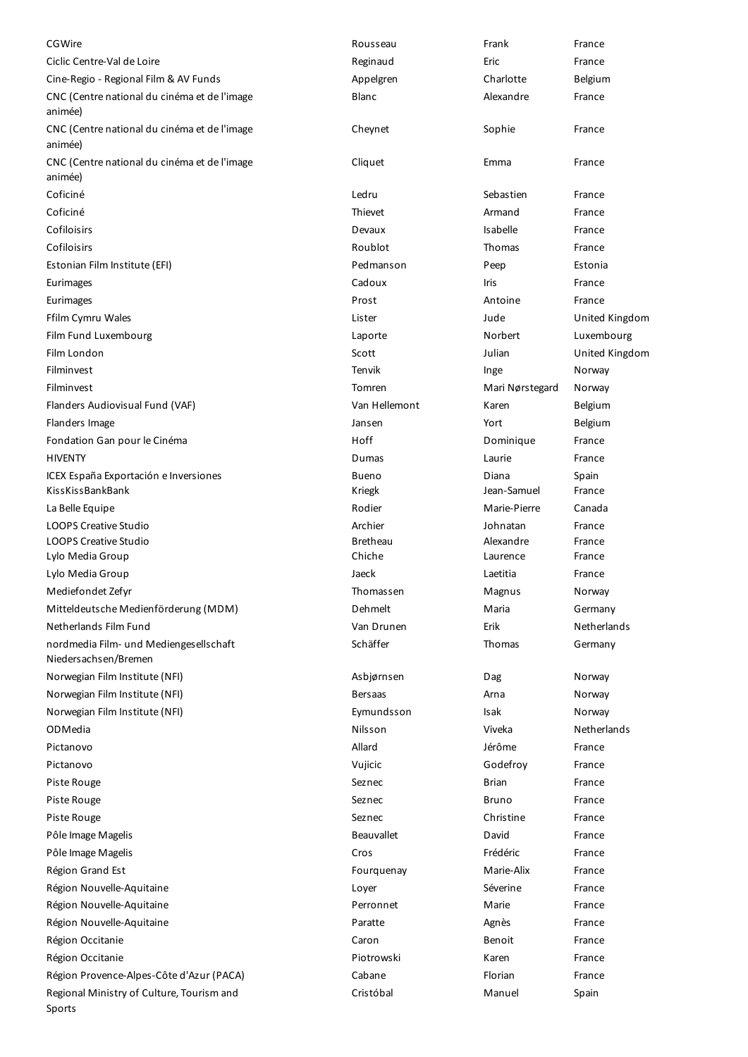| CGWire                                                         | Rousseau          | Frank           | France         |
|----------------------------------------------------------------|-------------------|-----------------|----------------|
| Ciclic Centre-Val de Loire                                     | Reginaud          | Eric            | France         |
| Cine-Regio - Regional Film & AV Funds                          | Appelgren         | Charlotte       | Belgium        |
| CNC (Centre national du cinéma et de l'image<br>animée)        | Blanc             | Alexandre       | France         |
| CNC (Centre national du cinéma et de l'image<br>animée)        | Cheynet           | Sophie          | France         |
| CNC (Centre national du cinéma et de l'image<br>animée)        | Cliquet           | Emma            | France         |
| Coficiné                                                       | Ledru             | Sebastien       | France         |
| Coficiné                                                       | Thievet           | Armand          | France         |
| Cofiloisirs                                                    | Devaux            | Isabelle        | France         |
| Cofiloisirs                                                    | Roublot           | Thomas          | France         |
| Estonian Film Institute (EFI)                                  | Pedmanson         | Peep            | Estonia        |
| Eurimages                                                      | Cadoux            | Iris            | France         |
| Eurimages                                                      | Prost             | Antoine         | France         |
| Ffilm Cymru Wales                                              | Lister            | Jude            | United Kingdom |
| Film Fund Luxembourg                                           | Laporte           | Norbert         | Luxembourg     |
| Film London                                                    | Scott             | Julian          | United Kingdom |
| Filminvest                                                     | <b>Tenvik</b>     | Inge            | Norway         |
| Filminvest                                                     | Tomren            | Mari Nørstegard | Norway         |
| Flanders Audiovisual Fund (VAF)                                | Van Hellemont     | Karen           | Belgium        |
| Flanders Image                                                 | Jansen            | Yort            | Belgium        |
| Fondation Gan pour le Cinéma                                   | Hoff              | Dominique       | France         |
| <b>HIVENTY</b>                                                 | Dumas             | Laurie          | France         |
| ICEX España Exportación e Inversiones                          | Bueno             | Diana           | Spain          |
| KissKissBankBank                                               | Kriegk            | Jean-Samuel     | France         |
| La Belle Equipe                                                | Rodier            | Marie-Pierre    | Canada         |
| <b>LOOPS Creative Studio</b>                                   | Archier           | Johnatan        | France         |
| <b>LOOPS Creative Studio</b>                                   | <b>Bretheau</b>   | Alexandre       | France         |
| Lylo Media Group                                               | Chiche            | Laurence        | France         |
| Lylo Media Group                                               | Jaeck             | Laetitia        | France         |
| Mediefondet Zefyr                                              | Thomassen         | Magnus          | Norway         |
| Mitteldeutsche Medienförderung (MDM)                           | Dehmelt           | Maria           | Germany        |
| Netherlands Film Fund                                          | Van Drunen        | Erik            | Netherlands    |
| nordmedia Film- und Mediengesellschaft<br>Niedersachsen/Bremen | Schäffer          | Thomas          | Germany        |
| Norwegian Film Institute (NFI)                                 | Asbjørnsen        | Dag             | Norway         |
| Norwegian Film Institute (NFI)                                 | <b>Bersaas</b>    | Arna            | Norway         |
| Norwegian Film Institute (NFI)                                 | Eymundsson        | Isak            | Norway         |
| ODMedia                                                        | Nilsson           | Viveka          | Netherlands    |
| Pictanovo                                                      | Allard            | Jérôme          | France         |
| Pictanovo                                                      | Vujicic           | Godefroy        | France         |
| Piste Rouge                                                    | Seznec            | <b>Brian</b>    | France         |
| Piste Rouge                                                    | Seznec            | <b>Bruno</b>    | France         |
| Piste Rouge                                                    | Seznec            | Christine       | France         |
| Pôle Image Magelis                                             | <b>Beauvallet</b> | David           | France         |
| Pôle Image Magelis                                             | Cros              | Frédéric        | France         |
| Région Grand Est                                               | Fourquenay        | Marie-Alix      | France         |
| Région Nouvelle-Aquitaine                                      | Loyer             | Séverine        | France         |
| Région Nouvelle-Aquitaine                                      | Perronnet         | Marie           | France         |
| Région Nouvelle-Aquitaine                                      | Paratte           | Agnès           | France         |
| Région Occitanie                                               | Caron             | <b>Benoit</b>   | France         |
| Région Occitanie                                               | Piotrowski        | Karen           | France         |
| Région Provence-Alpes-Côte d'Azur (PACA)                       | Cabane            | Florian         | France         |
| Regional Ministry of Culture, Tourism and<br>Sports            | Cristóbal         | Manuel          | Spain          |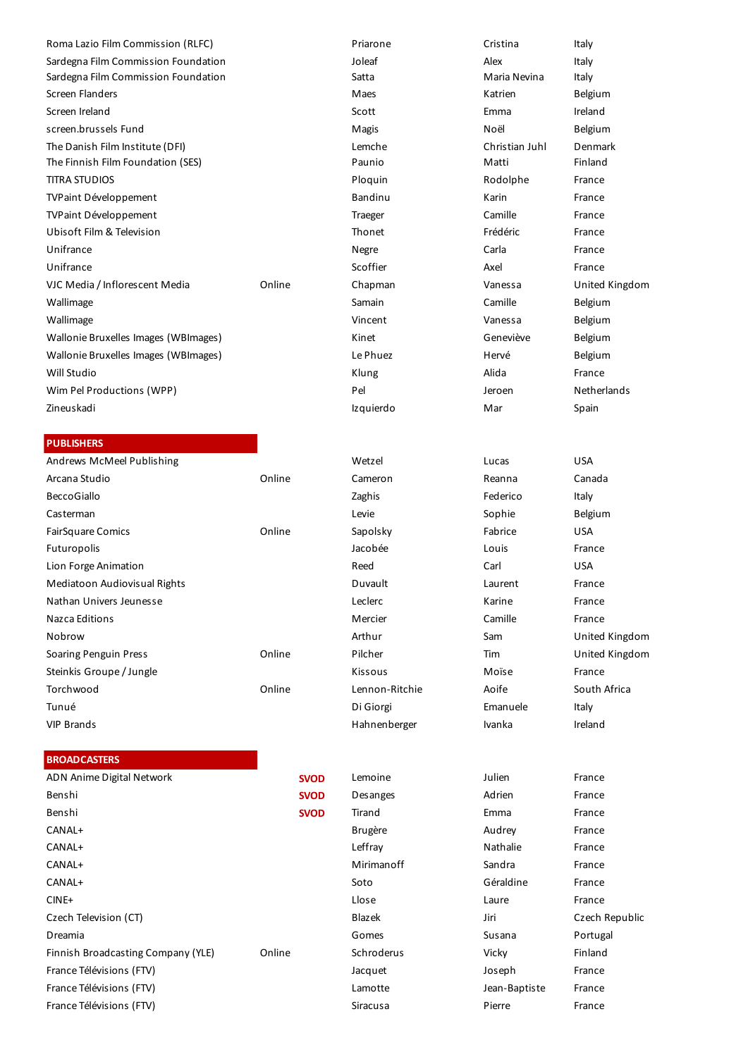| Roma Lazio Film Commission (RLFC)    |        | Priarone  | Cristina       | Italy              |
|--------------------------------------|--------|-----------|----------------|--------------------|
| Sardegna Film Commission Foundation  |        | Joleaf    | Alex           | Italy              |
| Sardegna Film Commission Foundation  |        | Satta     | Maria Nevina   | Italy              |
| Screen Flanders                      |        | Maes      | Katrien        | Belgium            |
| Screen Ireland                       |        | Scott     | Emma           | Ireland            |
| screen.brussels Fund                 |        | Magis     | Noël           | Belgium            |
| The Danish Film Institute (DFI)      |        | Lemche    | Christian Juhl | Denmark            |
| The Finnish Film Foundation (SES)    |        | Paunio    | Matti          | Finland            |
| <b>TITRA STUDIOS</b>                 |        | Ploquin   | Rodolphe       | France             |
| <b>TVPaint Développement</b>         |        | Bandinu   | Karin          | France             |
| <b>TVPaint Développement</b>         |        | Traeger   | Camille        | France             |
| Ubisoft Film & Television            |        | Thonet    | Frédéric       | France             |
| Unifrance                            |        | Negre     | Carla          | France             |
| Unifrance                            |        | Scoffier  | Axel           | France             |
| VJC Media / Inflorescent Media       | Online | Chapman   | Vanessa        | <b>United King</b> |
| Wallimage                            |        | Samain    | Camille        | Belgium            |
| Wallimage                            |        | Vincent   | Vanessa        | Belgium            |
| Wallonie Bruxelles Images (WBImages) |        | Kinet     | Geneviève      | Belgium            |
| Wallonie Bruxelles Images (WBImages) |        | Le Phuez  | Hervé          | Belgium            |
| Will Studio                          |        | Klung     | Alida          | France             |
| Wim Pel Productions (WPP)            |        | Pel       | Jeroen         | Netherlands        |
| Zineuskadi                           |        | Izquierdo | Mar            | Spain              |
|                                      |        |           |                |                    |

### **PUBLISHERS**

| Andrews McMeel Publishing    |        | Wetzel         | Lucas    | <b>USA</b> |
|------------------------------|--------|----------------|----------|------------|
| Arcana Studio                | Online | Cameron        | Reanna   | Canada     |
| <b>BeccoGiallo</b>           |        | Zaghis         | Federico | Italy      |
| Casterman                    |        | Levie          | Sophie   | Belgium    |
| <b>FairSquare Comics</b>     | Online | Sapolsky       | Fabrice  | <b>USA</b> |
| Futuropolis                  |        | Jacobée        | Louis    | France     |
| Lion Forge Animation         |        | Reed           | Carl     | <b>USA</b> |
| Mediatoon Audiovisual Rights |        | Duvault        | Laurent  | France     |
| Nathan Univers Jeunesse      |        | Leclerc        | Karine   | France     |
| Nazca Editions               |        | Mercier        | Camille  | France     |
| Nobrow                       |        | Arthur         | Sam      | United     |
| Soaring Penguin Press        | Online | Pilcher        | Tim      | United     |
| Steinkis Groupe / Jungle     |        | Kissous        | Moïse    | France     |
| Torchwood                    | Online | Lennon-Ritchie | Aoife    | South A    |
| Tunué                        |        | Di Giorgi      | Emanuele | Italy      |
| <b>VIP Brands</b>            |        | Hahnenberger   | Ivanka   | Ireland    |
|                              |        |                |          |            |

### **BROADCASTERS**

| ADN Anime Digital Network          | <b>SVOD</b> | Lemoine        | Julien        | France   |
|------------------------------------|-------------|----------------|---------------|----------|
| Benshi                             | <b>SVOD</b> | Desanges       | Adrien        | France   |
| Benshi                             | <b>SVOD</b> | Tirand         | Emma          | France   |
| CANAL+                             |             | <b>Brugère</b> | Audrey        | France   |
| CANAL+                             |             | Leffray        | Nathalie      | France   |
| CANAL+                             |             | Mirimanoff     | Sandra        | France   |
| CANAL+                             |             | Soto           | Géraldine     | France   |
| $CINE+$                            |             | Llose          | Laure         | France   |
| Czech Television (CT)              |             | Blazek         | Jiri          | Czech R  |
| Dreamia                            |             | Gomes          | Susana        | Portugal |
| Finnish Broadcasting Company (YLE) | Online      | Schroderus     | Vicky         | Finland  |
| France Télévisions (FTV)           |             | Jacquet        | Joseph        | France   |
| France Télévisions (FTV)           |             | Lamotte        | Jean-Baptiste | France   |
| France Télévisions (FTV)           |             | Siracusa       | Pierre        | France   |
|                                    |             |                |               |          |

| Priarone  |
|-----------|
| Joleaf    |
| Satta     |
| Maes      |
| Scott     |
| Magis     |
| Lemche    |
| Paunio    |
| Ploquin   |
| Bandinu   |
| Traeger   |
| Thonet    |
| Negre     |
| Scoffier  |
| Chapman   |
| Samain    |
| Vincent   |
| Kinet     |
| Le Phuez  |
| Klung     |
| Pel       |
| Izquierdo |
|           |

Lennon-Ritchie Aoife South Africa Hahnenberger Ivanka Ireland

Vanessa United Kingdom

Arthur Sam United Kingdom Pilcher Tim United Kingdom

Blazek Jiri Czech Republic Lamotte **Télévisions (FTV)** Jean-Baptiste France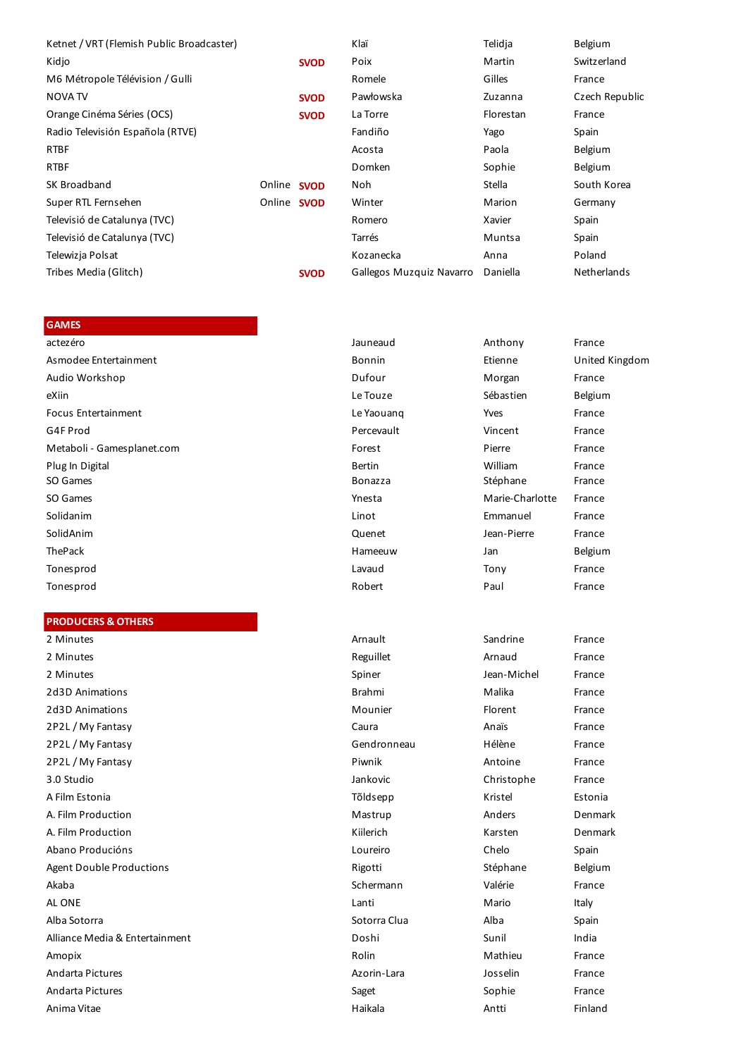| Ketnet / VRT (Flemish Public Broadcaster) |                    |             | Klaï                     | Telidja   | Belgium            |
|-------------------------------------------|--------------------|-------------|--------------------------|-----------|--------------------|
| Kidjo                                     |                    | <b>SVOD</b> | Poix                     | Martin    | Switzerland        |
| M6 Métropole Télévision / Gulli           |                    |             | Romele                   | Gilles    | France             |
| NOVA TV                                   |                    | <b>SVOD</b> | Pawłowska                | Zuzanna   | Czech Republic     |
| Orange Cinéma Séries (OCS)                |                    | <b>SVOD</b> | La Torre                 | Florestan | France             |
| Radio Televisión Española (RTVE)          |                    |             | Fandiño                  | Yago      | Spain              |
| <b>RTBF</b>                               |                    |             | Acosta                   | Paola     | Belgium            |
| <b>RTBF</b>                               |                    |             | Domken                   | Sophie    | Belgium            |
| SK Broadband                              | Online SVOD        |             | Noh                      | Stella    | South Korea        |
| Super RTL Fernsehen                       | Online <b>SVOD</b> |             | Winter                   | Marion    | Germany            |
| Televisió de Catalunya (TVC)              |                    |             | Romero                   | Xavier    | Spain              |
| Televisió de Catalunya (TVC)              |                    |             | Tarrés                   | Muntsa    | Spain              |
| Telewizja Polsat                          |                    |             | Kozanecka                | Anna      | Poland             |
| Tribes Media (Glitch)                     |                    | <b>SVOD</b> | Gallegos Muzquiz Navarro | Daniella  | <b>Netherlands</b> |

### **GAMES**

| actezéro                   | Jauneaud       | Anthony         | France         |
|----------------------------|----------------|-----------------|----------------|
| Asmodee Entertainment      | Bonnin         | Etienne         | United Kingdom |
| Audio Workshop             | Dufour         | Morgan          | France         |
| eXiin                      | Le Touze       | Sébastien       | Belgium        |
| Focus Entertainment        | Le Yaouang     | Yves            | France         |
| G4F Prod                   | Percevault     | Vincent         | France         |
| Metaboli - Gamesplanet.com | Forest         | Pierre          | France         |
| Plug In Digital            | <b>Bertin</b>  | William         | France         |
| SO Games                   | <b>Bonazza</b> | Stéphane        | France         |
| SO Games                   | Ynesta         | Marie-Charlotte | France         |
| Solidanim                  | Linot          | Emmanuel        | France         |
| SolidAnim                  | Quenet         | Jean-Pierre     | France         |
| ThePack                    | Hameeuw        | Jan             | Belgium        |
| Tonesprod                  | Lavaud         | Tony            | France         |
| Tonesprod                  | Robert         | Paul            | France         |

### **PRODUCERS & OTHERS**

2d3D Animations **Brahmi** Malika Francesco Brahmi Malika Francesco Brahmi Malika Francesco Brahmi 2d3D Animations **Mounier** Mounier 2P2L / My Fantasy Caura Analis Francesco Caura 2P2L / My Fantasy Gendronness Gendronness Gendronness Gendronness Gendronness Gendronness Gendronness Gendronness Gendronness Gendronness Gendronness Gendronness Gendronness Gendronness Gendronness Gendronness Gendronness 2P2L / My Fantasy Piwnik Antonio Francesco Piwnik A Film Estonia Tõldsepp A. Film Production and Anders Denmark Anders Denmark Mastrup A. Film Production **Kiilerich** Kiilerich Abano Producións **Loureiro** Chelo Spain de Loureiro Chelo Spain de Loureiro Chelo Spain de Loureiro Chelo Spain Agent Double Productions Rigotti Akaba Schermann - Schermann - Valérie France France - Schermann - Valérie - France France - France - Schermann AL ONE Lanti Mario Italy Alba Sotorra Sotorra Clua Alba Spain Alliance Media & Entertainment Doshi Sunil India Amopix Rolin Mathieu France Andarta Pictures Azorin-Lara Josselin France Andarta Pictures **Saget** Saget Sophie France Anima Vitae Haikala Antti Finland

| ו טכטס בוונכונטוווווכוונ        | LC Taouany     |                 |         |
|---------------------------------|----------------|-----------------|---------|
| G4F Prod                        | Percevault     | Vincent         | France  |
| Metaboli - Gamesplanet.com      | Forest         | Pierre          | France  |
| Plug In Digital                 | <b>Bertin</b>  | William         | France  |
| SO Games                        | <b>Bonazza</b> | Stéphane        | France  |
| SO Games                        | Ynesta         | Marie-Charlotte | France  |
| Solidanim                       | Linot          | Emmanuel        | France  |
| SolidAnim                       | Quenet         | Jean-Pierre     | France  |
| ThePack                         | Hameeuw        | Jan             | Belgium |
| Tonesprod                       | Lavaud         | Tony            | France  |
| Tonesprod                       | Robert         | Paul            | France  |
|                                 |                |                 |         |
| <b>PRODUCERS &amp; OTHERS</b>   |                |                 |         |
| 2 Minutes                       | Arnault        | Sandrine        | France  |
| 2 Minutes                       | Reguillet      | Arnaud          | France  |
| 2 Minutes                       | Spiner         | Jean-Michel     | France  |
| 2d3D Animations                 | <b>Brahmi</b>  | Malika          | France  |
| 2d3D Animations                 | Mounier        | Florent         | France  |
| 2P2L / My Fantasy               | Caura          | Anaïs           | France  |
| 2P2L/My Fantasy                 | Gendronneau    | Hélène          | France  |
| 2P2L/My Fantasy                 | Piwnik         | Antoine         | France  |
| 3.0 Studio                      | Jankovic       | Christophe      | France  |
| A Film Estonia                  | Tõldsepp       | Kristel         | Estonia |
| A. Film Production              | Mastrup        | Anders          | Denmark |
| A. Film Production              | Kiilerich      | Karsten         | Denmark |
| Abano Producións                | Loureiro       | Chelo           | Spain   |
| <b>Agent Double Productions</b> | Rigotti        | Stéphane        | Belgium |
|                                 |                |                 |         |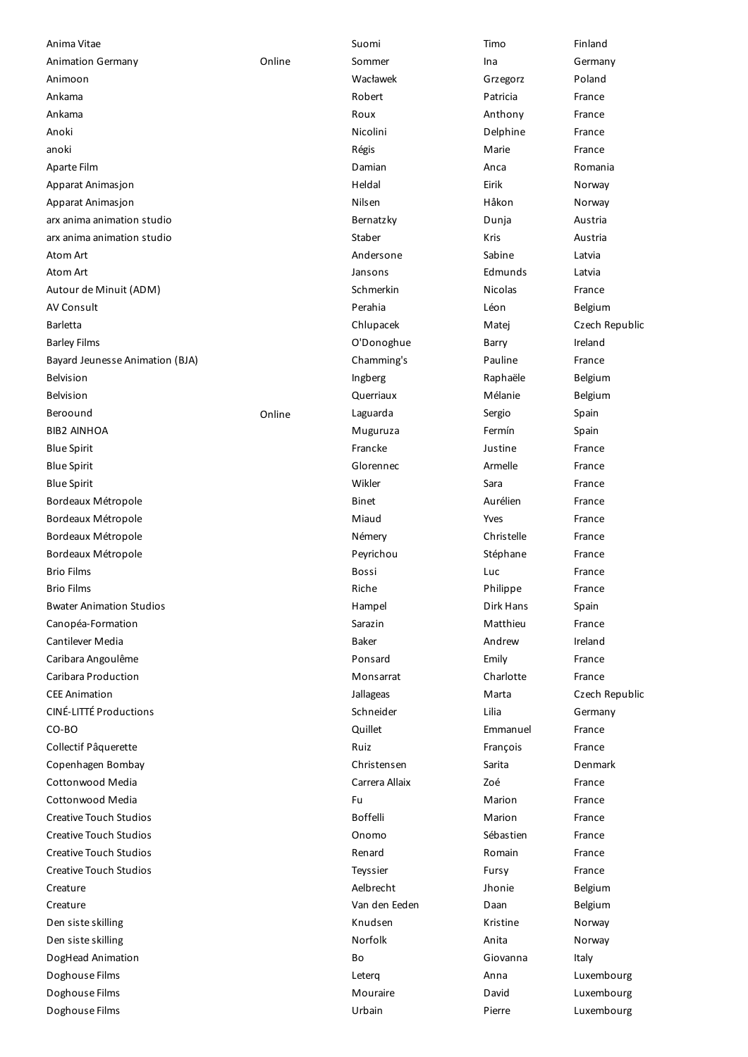| Anima Vitae                           |        | Suomi             | Timo               | Finland         |
|---------------------------------------|--------|-------------------|--------------------|-----------------|
| <b>Animation Germany</b>              | Online | Sommer            | Ina                | Germany         |
| Animoon                               |        | Wacławek          | Grzegorz           | Poland          |
| Ankama                                |        | Robert            | Patricia           | France          |
| Ankama                                |        | Roux              | Anthony            | France          |
| Anoki                                 |        | Nicolini          | Delphine           | France          |
| anoki                                 |        | Régis             | Marie              | France          |
| Aparte Film                           |        | Damian            | Anca               | Romania         |
| Apparat Animasjon                     |        | Heldal            | Eirik              | Norway          |
| Apparat Animasjon                     |        | Nilsen            | Håkon              | Norway          |
| arx anima animation studio            |        | Bernatzky         | Dunja              | Austria         |
| arx anima animation studio            |        | Staber            | Kris               | Austria         |
| Atom Art                              |        | Andersone         | Sabine             | Latvia          |
| Atom Art                              |        | Jansons           | Edmunds            | Latvia          |
| Autour de Minuit (ADM)                |        | Schmerkin         | Nicolas            | France          |
| <b>AV Consult</b>                     |        | Perahia           | Léon               | Belgium         |
| <b>Barletta</b>                       |        | Chlupacek         | Matej              | Czech Republic  |
| <b>Barley Films</b>                   |        | O'Donoghue        | Barry              | Ireland         |
| Bayard Jeunesse Animation (BJA)       |        | Chamming's        | Pauline            | France          |
| <b>Belvision</b>                      |        | Ingberg           | Raphaële           | Belgium         |
| <b>Belvision</b>                      |        | Querriaux         | Mélanie            | Belgium         |
| Beroound                              | Online | Laguarda          | Sergio             | Spain           |
| <b>BIB2 AINHOA</b>                    |        | Muguruza          | Fermín             | Spain           |
| <b>Blue Spirit</b>                    |        | Francke           | Justine            | France          |
| <b>Blue Spirit</b>                    |        | Glorennec         | Armelle            | France          |
| <b>Blue Spirit</b>                    |        | Wikler            | Sara               | France          |
| Bordeaux Métropole                    |        | Binet             | Aurélien           | France          |
| Bordeaux Métropole                    |        | Miaud             | Yves               | France          |
| Bordeaux Métropole                    |        | Némery            | Christelle         | France          |
| Bordeaux Métropole                    |        | Peyrichou         | Stéphane           | France          |
| <b>Brio Films</b>                     |        | Bossi             | Luc                | France          |
| <b>Brio Films</b>                     |        | Riche             | Philippe           | France          |
|                                       |        |                   | Dirk Hans          |                 |
| <b>Bwater Animation Studios</b>       |        | Hampel<br>Sarazin | Matthieu           | Spain<br>France |
| Canopéa-Formation<br>Cantilever Media |        | <b>Baker</b>      | Andrew             | Ireland         |
|                                       |        |                   |                    |                 |
| Caribara Angoulême                    |        | Ponsard           | Emily<br>Charlotte | France          |
| Caribara Production                   |        | Monsarrat         |                    | France          |
| <b>CEE Animation</b>                  |        | Jallageas         | Marta              | Czech Republic  |
| <b>CINÉ-LITTÉ Productions</b>         |        | Schneider         | Lilia              | Germany         |
| CO-BO                                 |        | Quillet           | Emmanuel           | France          |
| Collectif Pâquerette                  |        | Ruiz              | François           | France          |
| Copenhagen Bombay                     |        | Christensen       | Sarita             | Denmark         |
| Cottonwood Media                      |        | Carrera Allaix    | Zoé                | France          |
| Cottonwood Media                      |        | Fu                | Marion             | France          |
| <b>Creative Touch Studios</b>         |        | Boffelli          | Marion             | France          |
| <b>Creative Touch Studios</b>         |        | Onomo             | Sébastien          | France          |
| <b>Creative Touch Studios</b>         |        | Renard            | Romain             | France          |
| <b>Creative Touch Studios</b>         |        | Teyssier          | Fursy              | France          |
| Creature                              |        | Aelbrecht         | Jhonie             | Belgium         |
| Creature                              |        | Van den Eeden     | Daan               | Belgium         |
| Den siste skilling                    |        | Knudsen           | Kristine           | Norway          |
| Den siste skilling                    |        | Norfolk           | Anita              | Norway          |
| DogHead Animation                     |        | Bo                | Giovanna           | Italy           |
| Doghouse Films                        |        | Leterg            | Anna               | Luxembourg      |
| Doghouse Films                        |        | Mouraire          | David              | Luxembourg      |
| Doghouse Films                        |        | Urbain            | Pierre             | Luxembourg      |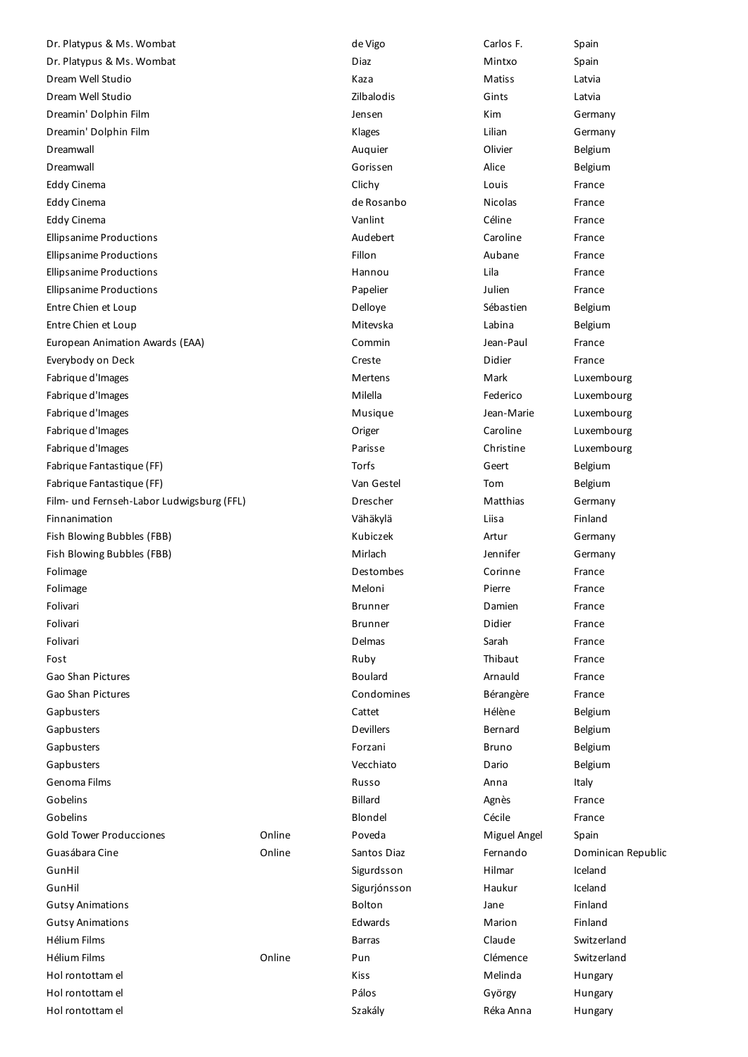Dr. Platypus & Ms. Wombat de Vigo de Vigo Carlos F. Spain Dr. Platypus & Ms. Wombat **Diaz** Diaz **Diaz** Mintxo Spain Dream Well Studio Kaza Matiss Latvia Dream Well Studio Zilbalodis Gints Latvia Dreamin' Dolphin Film **Community** Community Community Community Jensen Millet Community Community Community Community Dreamin' Dolphin Film **Community** Community Community Community Community Community Community Community Community Dreamwall Auquier Olivier Belgium Dreamwall Gorissen Alice Belgium Eddy Cinema Clichy Louis France Eddy Cinema de Rosanbo Nicolas France Eddy Cinema Vanlint Céline France Ellipsanime Productions Audebert Caroline France Ellipsanime Productions Fillon Aubane France Ellipsanime Productions Hannou Lila France Ellipsanime Productions Papelier Julien France Entre Chien et Loup and Entre Chien et Loup and Entre Chien et Loup and Sébastien and Belgium Entre Chien et Loup Mitevska Labina Belgium European Animation Awards (EAA) and the Commin Commin Commin and Jean-Paul France Everybody on Deck Creste Didier France Fabrique d'Images **Merceurs Mertens** Mertens Mark Mark Luxembourg Fabrique d'Images **Milella** Fabrique d'Images de la Communistation de la Communistation de la Communistation de Luxembourg Fabrique d'Images **Musique de la commune de la commune de la commune de la commune de la commune de la commune de la commune de la commune de la commune de la commune de la commune de la commune de la commune de la commune** Fabrique d'Images Origer Caroline Luxembourg Fabrique d'Images Parisse Christine Luxembourg Fabrique Fantastique (FF) **Fabrique Fantastique (FF)** Torfs Geert Belgium Fabrique Fantastique (FF) and Solid March 2014 van Gestel Van Gestel Tom Belgium Film- und Fernseh-Labor Ludwigsburg (FFL) **Drescher Matthias** Germany Finnanimation Vähäkylä Liisa Finland Fish Blowing Bubbles (FBB) **Kubiczek Artur Germany** Kubiczek Artur Germany Fish Blowing Bubbles (FBB) **Mirlach** Mirlach Mirlach Jennifer Germany Folimage Destombes Corinne France Folimage **Meloni** Pierre France France **Meloni** Meloni Pierre France Prance Folivari **Brunner Brunner** Damien **France** Folivari **Brunner Brunner** Didier France Folivari Delmas Sarah France Fost **Ruby Thibaut France** France France France France France France France France France France France France F Gao Shan Pictures **Contract Contract Contract Contract Contract Contract Contract Contract Contract Contract Contract Contract Contract Contract Contract Contract Contract Contract Contract Contract Contract Contract Contr** Gao Shan Pictures Condomines Bérangère France Gapbusters Cattet Hélène Belgium Gapbusters and Belgium and Devillers Bernard Belgium Belgium Gapbusters **Forzani** Bruno Belgium Bruno Belgium Gapbusters Vecchiato Dario Belgium Genoma Films Russo Anna Italy Gobelins **Gobelins** France **Communist Communist Communist Communist Communist Communist Communist Communist Communist Communist Communist Communist Communist Communist Communist Communist Communist Communist Communist Comm** Gobelins Blondel Cécile France Gold Tower Producciones **Collume** Conline Poveda **Miguel Angel** Spain Guasábara Cine **Cantos Cine Cine Cine Cine Cine Cine** Santos Diaz **Fernando** Dominican Republic GunHil Sigurdsson Hilmar Iceland GunHil Sigurjónsson Haukur Iceland Gutsy Animations **Gutsy Animations Container Container Container Bolton Container Bolton Container Container Container Container Container Container Container Container Container Container Container Container Contain** Gutsy Animations Edwards Marion Finland Hélium Films Barras Claude Switzerland Hélium Films Online Pun Clémence Switzerland Hol rontottam el Nortottam el Nortottam el Nortottam el Nortottam el Nortottam el Nortottam el Nortottam el Nor Hol rontottam el **Pálos** Pálos György Hungary Hungary Hungary Hungary Hungary Hungary Hungary Hungary Hungary Hungary Hol rontottam el Santa Communication en Santa Caracterista Caracterista Caracterista Caracterista Anna Hungary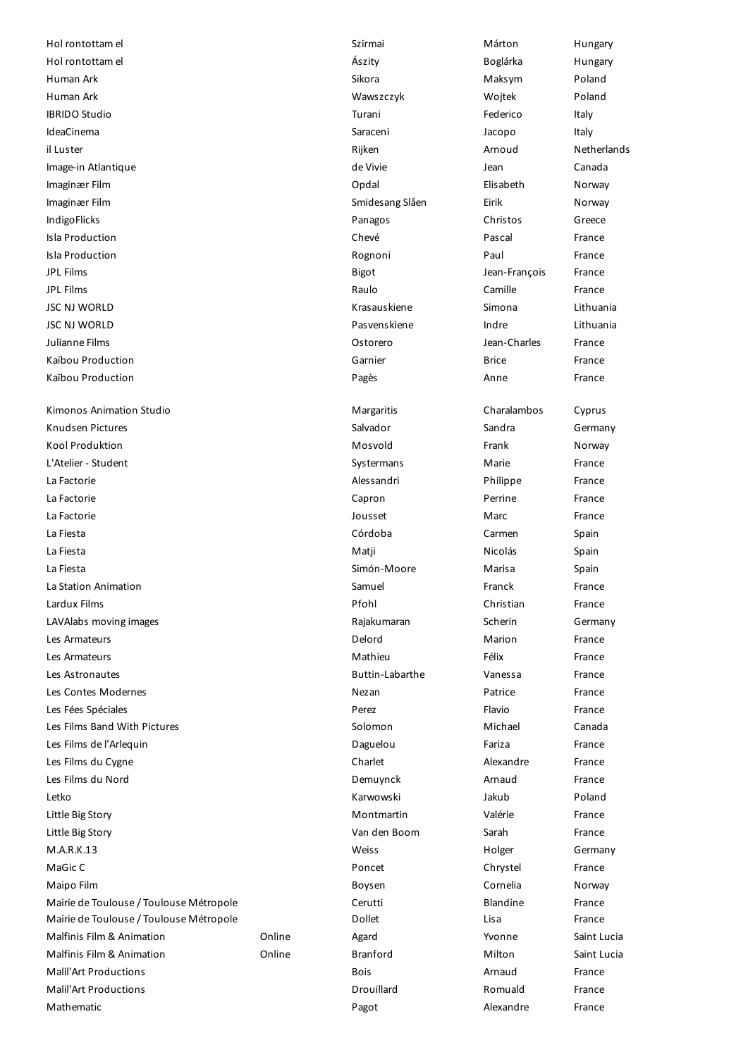Kimonos Animation Studio **Margaritis** Margaritis Charalambos Cyprus Knudsen Pictures **Salvador** Salvador Sandra Germany Sandra Germany Kool Produktion **Most and Transform Controller Most and Most and Transform Most and Transform American Norway** L'Atelier - Student Christian Christian Christian Christian Christian Christian Christian Christian Christian C La Factorie Alessandri Philippe France La Factorie Capron Perrine France La Factorie Jousset Marc France La Fiesta Córdoba Carmen Spain La Fiesta Matji Nicolás Spain La Fiesta Simón-Moore Marisa Spain La Station Animation Samuel Franck France Lardux Films Pfohl Christian France LAVAlabs moving images Rajakumaran Scherin Germany Les Armateurs **Communister Communister Communister Communister Communister Communister Communister Communister Communister Communister Communister Communister Communister Communister Communister Communister Communister Com** Les Armateurs and Transmission and the Mathieu Charles Controller extending the Mathieu Charles France France Les Astronautes Buttin-Labarthe Vanessa France Les Contes Modernes Nezan Patrice France Les Fées Spéciales Perez Flavio France Les Films Band With Pictures **Solomon** Solomon Michael Canada Les Films de l'Arlequin Daguelou Fariza France Les Films du Cygne **Charlet** Charlet **Charlet** Alexandre France Les Films du Nord Demuynck Arnaud France Letko Karwowski Jakub Poland Little Big Story **Montmartin** Valérie France Little Big Story Van den Boom Sarah France M.A.R.K.13 Weiss Holger Germany MaGic Chrystel Chrystel Chrystel Chrystel Chrystel Chrystel Chrystel Chrystel Chrystel Chrystel Chrystel Chrystel Chrystel Chrystel Chrystel Chrystel Chrystel Chrystel Chrystel Chrystel Chrystel Chrystel Chrystel Chrystel Maipo Film Boysen Cornelia Norway Mairie de Toulouse / Toulouse Métropole  $\overline{C}$  Cerutti Blandine Blandine France Mairie de Toulouse / Toulouse Métropole Dollet Lisa France Malfinis Film & Animation Online Agard Yvonne Saint Lucia Malfinis Film & Animation Online Branford Milton Saint Lucia Malil'Art Productions Bois Arnaud France Malil'Art Productions Drouillard Romuald France Mathematic Pagot Alexandre France

Hol rontottam el **Alexandria Component Component Component Component Component Component Component Component Component Component Component Component Component Component Component Component Component Component Component Com** Hol rontottam el **Allah Rubarya Kurata Aszlanda Aszlanda Aszlanda Boglárka** Hungary Human Ark Sikora Maksym Poland Human Ark Wawszczyk Wojtek Poland IBRIDO Studio Turani Federico Italy IdeaCinema Saraceni Jacopo Italy il Luster and December 2011 is the Rijken and Arnoud Netherlands Netherlands (Netherlands Arnoud Netherlands Net Image-in Atlantique and a construction of the Vivie de Vivie and a construction of the Canada Imaginær Film Opdal Elisabeth Norway Imaginær Film **Imaginær Film** Smidesang Slåen Eirik Eirik Norway IndigoFlicks Panagos Christos Greece Isla Production Chevé Pascal France Isla Production Rognoni Paul France JPL Films Bigot Jean-François France JPL Films Raulo Camille France JSC NJ WORLD Krasauskiene Simona Lithuania JSC NJ WORLD Pasvenskiene Indre Lithuania Julianne Films Ostorero Jean-Charles France Kaïbou Production Garnier Brice France Kaïbou Production **Pages** Anne France **Pages** Anne France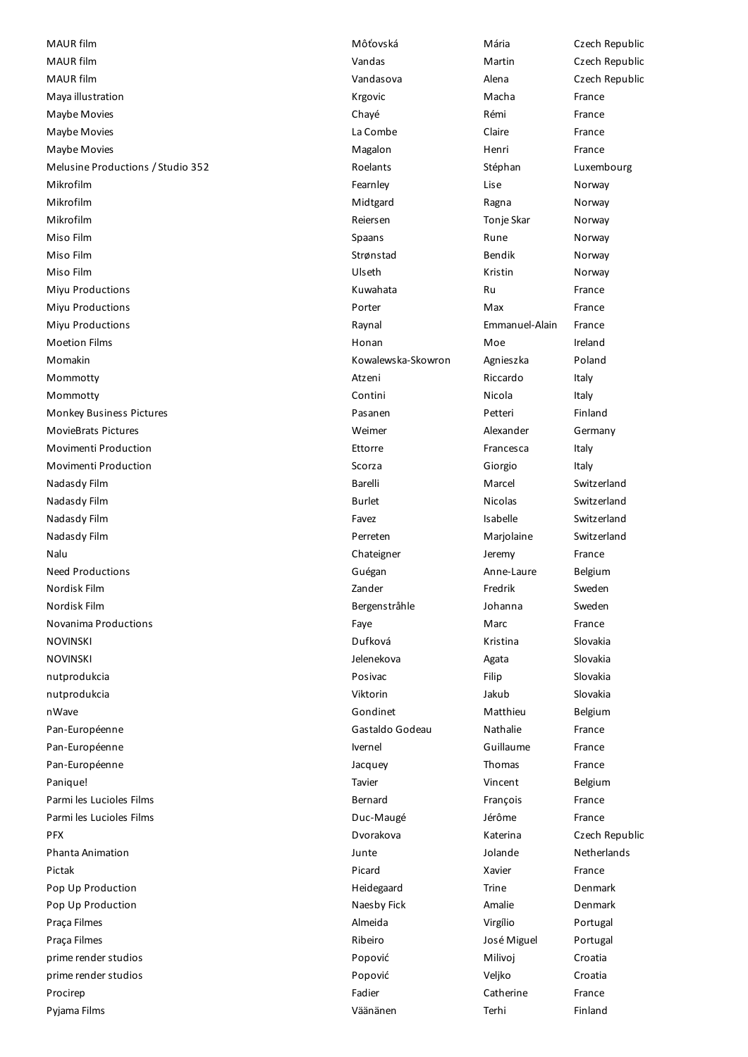MAUR film **Mathematic Czech Republic** Môtovská Mária Mária Czech Republic MAUR film **Martin Czech Republic** Vandas Martin Czech Republic MAUR film Vandasova Alena Czech Republic Maya illustration and the control of the Macha France Macha France Macha France Maybe Movies **Chayé** Chayé Rémi Rémi France Maybe Movies **According to the Combe** Claire Claire France Maybe Movies **Magalon Magalon Magalon Henri** France Melusine Productions / Studio 352 **Roelants** Roelants Stéphan Luxembourg Mikrofilm Fearnley Lise Norway Mikrofilm Midtgard Ragna Norway Mikrofilm Reiersen Tonje Skar Norway Miso Film Spaans Rune Norway Miso Film Strønstad Bendik Norway Miso Film Ulseth Kristin Norway Miyu Productions **Example 20** The Ru Ru Ru Ru Ru France Miyu Productions **Mixture 2018 Porter Max** Max France Miyu Productions Raynal Emmanuel-Alain France Moetion Films **Moetion Films** Honan Honan Moetion Films and Moetion Films and Moetic Relationships are the Moetic Momakin Kowalewska-Skowron Agnieszka Poland Mommotty **Atzeni** Riccardo Italy Roman Riccardo Italy Mommotty **Alternative Contini** Contini Nicola Italy Monkey Business Pictures Pasanen Petteri Finland MovieBrats Pictures **MovieBrats Pictures** Meiner Meimer Alexander Germany Movimenti Production **Ettorre** Ettorre **Francesca** Italy Movimenti Production and Scorza Scorza Ciorgio Italy Nadasdy Film **Barelli** Marcel Switzerland Barelli Marcel Switzerland Nadasdy Film Burlet Nicolas Switzerland Nadasdy Film Favex and Switzerland Switzerland Switzerland Switzerland Switzerland Switzerland Switzerland Switzerland Nadasdy Film Perreten Marjolaine Switzerland Nalu Chateigner Jeremy France France Chateigner and Jeremy France Need Productions and Anne-Laure Belgium Cuégan and Guégan and Anne-Laure Belgium Nordisk Film Zander Fredrik Sweden Nordisk Film Bergenstråhle Johanna Sweden Novanima Productions **Faye** Faye Marc France France France NOVINSKI Dufková Kristina Slovakia NOVINSKI Jelenekova Agata Slovakia nutprodukcia Posivac Filip Slovakia nutprodukcia **Viktorin Slovakia** Viktorin Jakub Slovakia nWave **Gondinet** Matthieu Belgium Belgium Belgium Pan-Européenne Gastaldo Godeau Nathalie France Pan-Européenne **Ivernel** Ivernel Guillaume France Pan-Européenne Charles Charles Charles (1999) and Jacquey Thomas France Thomas France Panique! Tavier Vincent Belgium Parmi les Lucioles Films **Exercía et au Communitation** Bernard François France France Parmi les Lucioles Films Duc-Maugé Jérôme France PFX Dvorakova Katerina Czech Republic Phanta Animation Junte Jolande Netherlands Pictak **Pictak Picard Xavier France** Pop Up Production Trine Denmark Control of the Heidegaard Trine Trine Denmark Pop Up Production **Nation** Naesby Fick **Amalie** Amalie Denmark Praça Filmes **Almeida** Virgílio Portugal e Portugal e Almeida **Virgílio** Portugal Praça Filmes **Ribeiro III e a Contra Constituto de Se**na Constituída e a Portugal Portugal Portugal prime render studios Popović Milivoj Croatia prime render studios Popović Veljko Croatia Procirep Fadier Catherine France Fadier Catherine France

Pyjama Films Väänänen Terhi Finland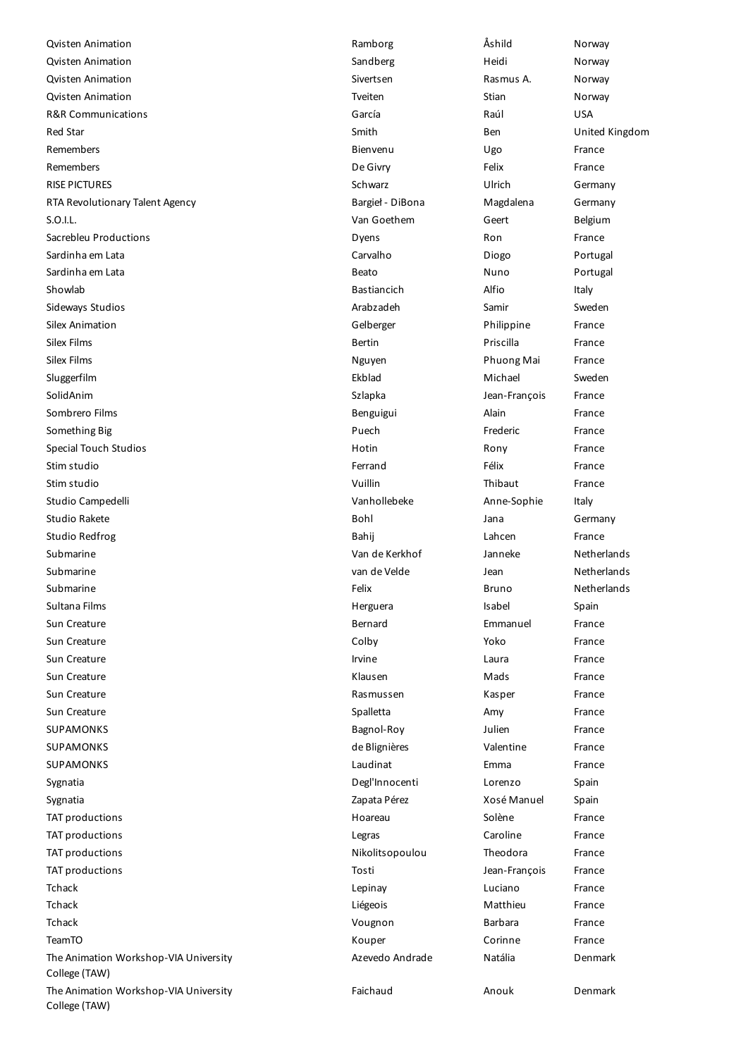Qvisten Animation Ramborg Åshild Norway **Canadian Control Control Control Control Control Control Control Control Control Control Control Control Control Norway** Qvisten Animation Sivertsen Rasmus A. Norway Qvisten Animation and Treiten Treiten and Stian Stian Norway R&R Communications García Raúl USA Red Star Smith Ben United Kingdom Remembers Bienvenu Ugo France Remembers **Example 2** and the Control of the Control of the De Givry **Felix** France RISE PICTURES Germany Communication of the Schwarz Schwarz Communication of the Germany RTA Revolutionary Talent Agency **Bargiel - DiBona** Magdalena Germany S.O.I.L. S.O.I.L. Belgium Communication of the Communication of the Van Goethem Communication of Belgium Sacrebleu Productions **Sacrebleu Productions Container Container Productions Container Ron** France Sardinha em Lata Carvalho Carvalho Diogo Portugal Sardinha em Lata **Beato** Beato Nuno Portugal Showlab Bastiancich Alfio Italy Sideways Studios **Arabzadeh Samir Sweden** Samir Sweden Samir Sweden Samir Sweden Studios Sweden Studios Sweden Sweden Studios Sweden Studios Sweden Studios Sweden Studios Studios Studios Studios Studios Studios Studios Stu Silex Animation **Gelberger** Christian Gelberger **Christian Christian Christian Christian Christian Christian Christian Christian Christian Christian Christian Christian Christian Christian Christian Christian Christian Chr** Silex Films **Bertin** Bertin **Bertin** Priscilla **Priscilla** France Silex Films **Nguyen Phuong Mai Phuong Mai France** Sluggerfilm Ekblad Michael Sweden SolidAnim Szlapka Jean-François France Sombrero Films **Benguigui** Benguigui **Alain Benguigui** Alain **Alain** France Something Big **Frederic** France **France** Puech **Frederic** France Special Touch Studios **Example 20 To Construct Constructs** Hotin **Hotin Rony France** Stim studio Ferrand Ferrand Ferrand Ferrand Félix France Stim studio Vuillin Thibaut France Studio Campedelli Vanhollebeke Anne-Sophie Italy Studio Rakete Bohl Jana Germany Studio Redfrog **Bahij** Lahcen France Submarine Van de Kerkhof Janneke Netherlands Submarine van de Velde Jean Netherlands Submarine Felix Bruno Netherlands Sultana Films **Sultana Isabel Spain** Spain Spain References and Herguera **Isabel Spain Spain Spain** Sun Creature Bernard Emmanuel France Sun Creature **Colby Colby Colby Research Colby** Prance Sun Creature **Irvine** Irvine Laura **Constantine Laura** France Sun Creature Klausen Mads France Sun Creature **Rasmussen Eine Eine Eine Eine Eine Erance** Rasmussen Kasper France France Sun Creature **Superinten Amy Creature Spalletta** Creature Amy France SUPAMONKS Bagnol-Roy Julien France SUPAMONKS de Blignières Valentine France SUPAMONKS Laudinat Emma France Sygnatia **Degl'Innocenti** Lorenzo Spain Sygnatia Zapata Pérez Xosé Manuel Spain TAT productions Hoareau Solène France TAT productions Legras Caroline France TAT productions Theodora Erance Controller Controller Nikolitsopoulou Theodora France TAT productions Tosti Jean-François France Tchack Lepinay Luciano France Tchack Liégeois Matthieu France Tchack Vougnon Barbara France TeamTO Kouper Corinne France The Animation Workshop-VIA University College (TAW) The Animation Workshop-VIA University College (TAW)

Azevedo Andrade Natália Denmark Faichaud Anouk Denmark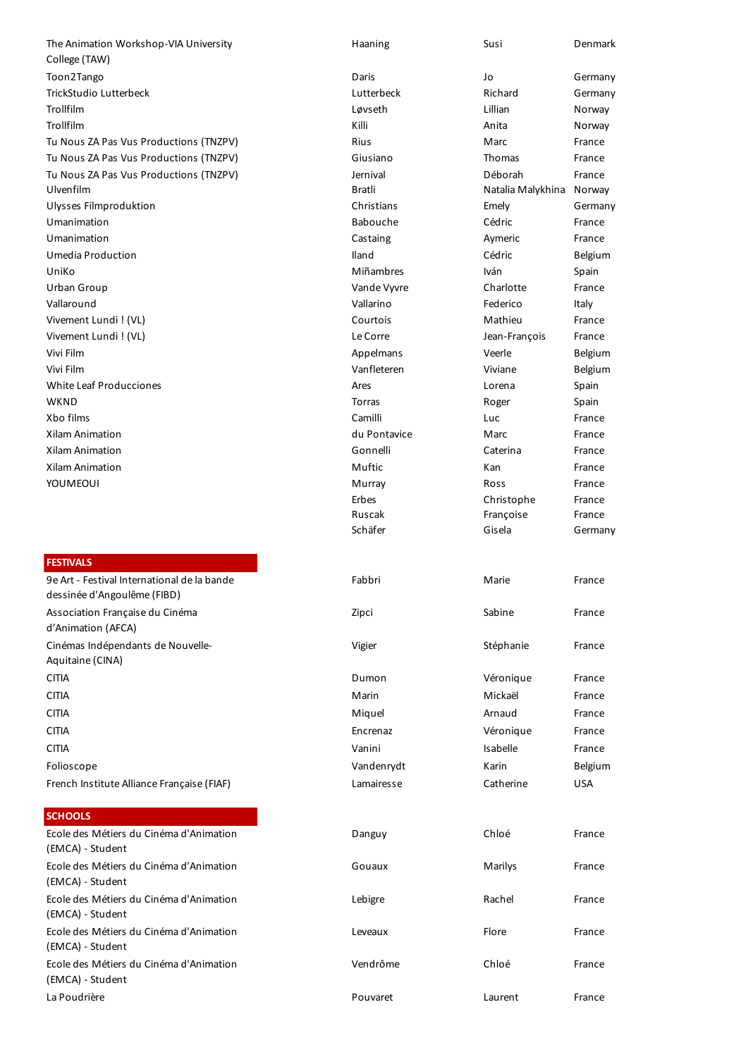#### **FESTIVALS**

| 9e Art - Festival International de la bande<br>dessinée d'Angoulême (FIBD) |
|----------------------------------------------------------------------------|
| Association Française du Cinéma<br>d'Animation (AFCA)                      |
| Cinémas Indépendants de Nouvelle-                                          |
| Aquitaine (CINA)                                                           |
| <b>CITIA</b>                                                               |
| <b>CITIA</b>                                                               |
| <b>CITIA</b>                                                               |
| <b>CITIA</b>                                                               |
| <b>CITIA</b>                                                               |
| Folioscope                                                                 |
| French Institute Alliance Francaise (FIAF)                                 |

## **SCHOOLS**

| The Animation Workshop-VIA University                       | Haaning         | Susi              | Denmark    |
|-------------------------------------------------------------|-----------------|-------------------|------------|
| College (TAW)                                               |                 |                   |            |
| Toon2Tango                                                  | Daris           | Jo                | Germany    |
| TrickStudio Lutterbeck                                      | Lutterbeck      | Richard           | Germany    |
| Trollfilm                                                   | Løvseth         | Lillian           | Norway     |
| Trollfilm                                                   | Killi           | Anita             | Norway     |
| Tu Nous ZA Pas Vus Productions (TNZPV)                      | Rius            | Marc              | France     |
| Tu Nous ZA Pas Vus Productions (TNZPV)                      | Giusiano        | <b>Thomas</b>     | France     |
| Tu Nous ZA Pas Vus Productions (TNZPV)                      | Jernival        | Déborah           | France     |
| Ulvenfilm                                                   | Bratli          | Natalia Malykhina | Norway     |
| Ulysses Filmproduktion                                      | Christians      | Emely             | Germany    |
| Umanimation                                                 | <b>Babouche</b> | Cédric            | France     |
|                                                             |                 |                   |            |
| Umanimation                                                 | Castaing        | Aymeric           | France     |
| Umedia Production                                           | Iland           | Cédric            | Belgium    |
| UniKo                                                       | Miñambres       | <b>Iván</b>       | Spain      |
| Urban Group                                                 | Vande Vyvre     | Charlotte         | France     |
| Vallaround                                                  | Vallarino       | Federico          | Italy      |
| Vivement Lundi! (VL)                                        | Courtois        | Mathieu           | France     |
| Vivement Lundi ! (VL)                                       | Le Corre        | Jean-François     | France     |
| Vivi Film                                                   | Appelmans       | Veerle            | Belgium    |
| Vivi Film                                                   | Vanfleteren     | Viviane           | Belgium    |
| <b>White Leaf Producciones</b>                              | Ares            | Lorena            | Spain      |
| WKND                                                        | Torras          | Roger             | Spain      |
| Xbo films                                                   | Camilli         | Luc               | France     |
| Xilam Animation                                             | du Pontavice    | Marc              | France     |
| Xilam Animation                                             | Gonnelli        | Caterina          | France     |
| Xilam Animation                                             | Muftic          | Kan               | France     |
| YOUMEOUI                                                    | Murray          | Ross              | France     |
|                                                             | Erbes           | Christophe        | France     |
|                                                             | Ruscak          | Françoise         | France     |
|                                                             | Schäfer         | Gisela            | Germany    |
|                                                             |                 |                   |            |
| <b>FESTIVALS</b>                                            |                 |                   |            |
| 9e Art - Festival International de la bande                 | Fabbri          | Marie             | France     |
| dessinée d'Angoulême (FIBD)                                 |                 |                   |            |
| Association Française du Cinéma                             | Zipci           | Sabine            | France     |
| d'Animation (AFCA)                                          |                 |                   |            |
| Cinémas Indépendants de Nouvelle-                           | Vigier          | Stéphanie         | France     |
| Aquitaine (CINA)                                            |                 |                   |            |
|                                                             |                 |                   |            |
| CITIA                                                       | Dumon           | Véronique         | France     |
| CITIA                                                       | Marin           | Mickaël           | France     |
| CITIA                                                       | Miquel          | Arnaud            | France     |
| CITIA                                                       | Encrenaz        | Véronique         | France     |
| <b>CITIA</b>                                                | Vanini          | Isabelle          | France     |
| Folioscope                                                  | Vandenrydt      | Karin             | Belgium    |
| French Institute Alliance Française (FIAF)                  | Lamairesse      | Catherine         | <b>USA</b> |
|                                                             |                 |                   |            |
| <b>SCHOOLS</b>                                              |                 |                   |            |
| Ecole des Métiers du Cinéma d'Animation                     |                 |                   |            |
| (EMCA) - Student                                            | Danguy          | Chloé             | France     |
| Ecole des Métiers du Cinéma d'Animation<br>(EMCA) - Student | Gouaux          | Marilys           | France     |
| Ecole des Métiers du Cinéma d'Animation<br>(EMCA) - Student | Lebigre         | Rachel            | France     |
| Ecole des Métiers du Cinéma d'Animation<br>(EMCA) - Student | Leveaux         | Flore             | France     |
| Ecole des Métiers du Cinéma d'Animation<br>(EMCA) - Student | Vendrôme        | Chloé             | France     |
|                                                             |                 |                   |            |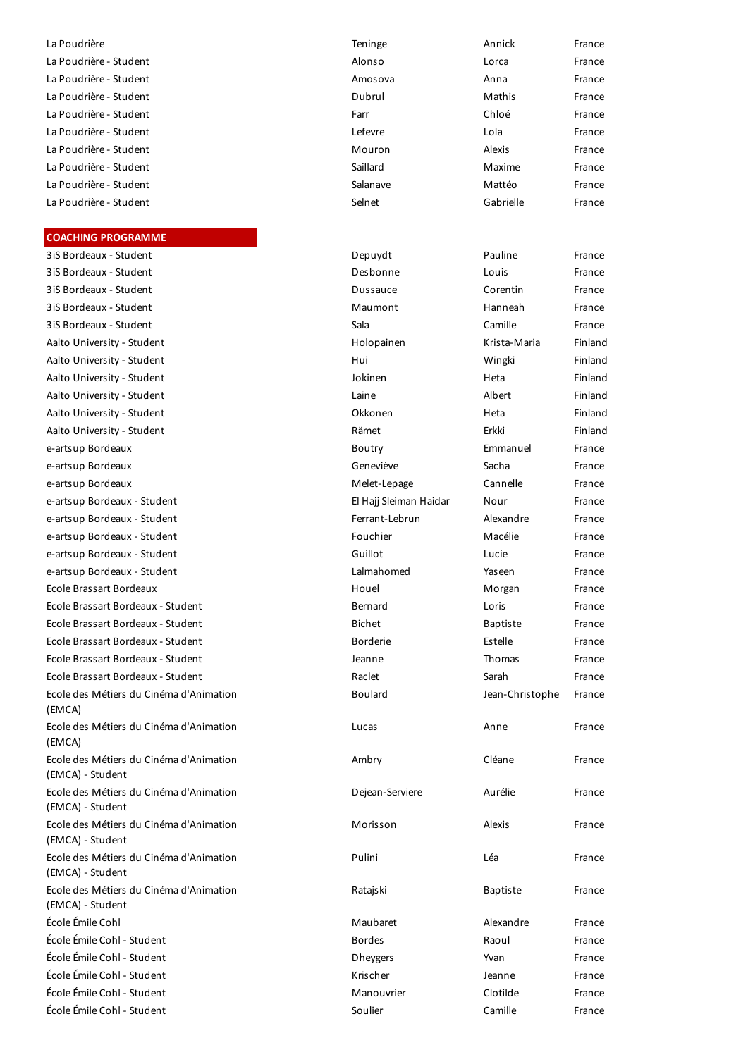#### **COACHING PROGRAMME**

3iS Bordeaux - Student Deputyde Francesco Pauline Francesco Pauline Francesco Pauline Francesco Pauline France 3iS Bordeaux - Student Despois France Louis France Louis France Louis France Louis France Louis France Louis F 3iS Bordeaux - Student Dussauce Corentin France 3iS Bordeaux - Student Maumont Hannes Maumont Maumont Maumont Maumont Maumont Maumont Maumont Maumont Maumont M 3iS Bordeaux - Student Sala Camille Francesco Sala Camille Francesco Sala Camille Francesco Sala Camille Francesco Sa Aalto University - Student Holopainen Krista-Maria Finlands Holopainen Krista-Maria Finlands H Aalto University - Student Hui Hui Wingki Finlands Hui Hui Hui Wingki Finlands Hui Hui Hui Wingki Finlands Hui Aalto University - Student Jokinen Heta Finland Aalto University - Student Latin Charles Finlands Albert Finlands Albert Finlands Albert Finlands Albert Finlands A Aalto University - Student **Okkonen Heta Finlands** C Aalto University - Student Erkki Finlands Erkki Finlands Erkki Finlands Erkki Finlands Erkki Finlands Erkki Fi e-artsup Bordeaux Boutry Emmanuel Francesco Boutry Emmanuel Francesco Boutry Emmanuel Francesco Boutry Emmanuel Francesco Boutry Emmanuel Francesco Boutry Emmanuel Francesco Boutry Emmanuel Francesco Boutry Emmanuel France e-artsup Bordeaux Geneviève Sacha Francesco Sacha Francesco Sacha Francesco Sacha Francesco Sacha Francesco Sa e-artsup Bordeaux Melet-Lepage Cannelle France Cannelle France Cannelle France Cannelle France Cannelle France e-artsup Bordeaux - Student El Hajj Sleiman Haidar Haidar Haidar Haidar Haidar Haidar Haidar Haidar Haidar Hai e-artsup Bordeaux - Student France France France France France France France France France France France France e-artsup Bordeaux - Student France France France France France France France France France France France France e-artsup Bordeaux - Student Guillot Lucie Francesco Guillot Lucie Francesco Guillot Lucie Guillot Guillot Co e-artsup Bordeaux - Student Lalmahomed Yaseen Francesco La Ecole Brassart Bordeaux **Hougan France** Ecole Brassart Bordeaux - Student Bernard Loris Engineering Bernard Loris Francesco Ecole Brassart Bordeaux - Student Bichet Baptiste Francesco Bi Ecole Brassart Bordeaux - Student Borderie Estelle Francesco Borderie Estelle Francesco Borderie Estelle France Ecole Brassart Bordeaux - Student Jeanne Thomas Jeanne Thomas Jeanne Thomas Jeanne Thomas Je Ecole Brassart Bordeaux - Student Sarah Francesco Sarah Francesco Sarah Francesco Sarah Francesco Sarah France Ecole des Métiers du Cinéma d'Animation (EMCA) Ecole des Métiers du Cinéma d'Animation (EMCA) Ecole des Métiers du Cinéma d'Animation (EMCA) - Student Ecole des Métiers du Cinéma d'Animation (EMCA) - Student Ecole des Métiers du Cinéma d'Animation (EMCA) - Student Ecole des Métiers du Cinéma d'Animation (EMCA) - Student Ecole des Métiers du Cinéma d'Animation (EMCA) - Student École Émile Cohl Maubaret Alexandre France Alexandre France Alexandre France Alexandre France Alexandre France École Émile Cohl - Student Bordes Raoul Frances Raoul Frances Raoul Frances Raoul Frances Raoul Frances Raoul F École Émile Cohl - Student Dheygers Yvan Francesco Dheygers Dheygers Dheygers Dheygers Dheygers Dheygers Dheygers D École Émile Cohl - Student Krischer Jeanne France École Émile Cohl - Student Manouvrier Clotilde France École Émile Cohl - Student Soulier Camille France

| La Poudrière           | Teninge  | Annick    | France |
|------------------------|----------|-----------|--------|
| La Poudrière - Student | Alonso   | Lorca     | France |
| La Poudrière - Student | Amosova  | Anna      | France |
| La Poudrière - Student | Dubrul   | Mathis    | France |
| La Poudrière - Student | Farr     | Chloé     | France |
| La Poudrière - Student | Lefevre  | Lola      | France |
| La Poudrière - Student | Mouron   | Alexis    | France |
| La Poudrière - Student | Saillard | Maxime    | France |
| La Poudrière - Student | Salanave | Mattéo    | France |
| La Poudrière - Student | Selnet   | Gabrielle | France |

| Depuydt                | Pauline         | France  |
|------------------------|-----------------|---------|
| Desbonne               | Louis           | France  |
| Dussauce               | Corentin        | France  |
| Maumont                | Hanneah         | France  |
| Sala                   | Camille         | France  |
| Holopainen             | Krista-Maria    | Finland |
| Hui                    | Wingki          | Finland |
| Jokinen                | Heta            | Finland |
| Laine                  | Albert          | Finland |
| Okkonen                | Heta            | Finland |
| Rämet                  | Erkki           | Finland |
| Boutry                 | Emmanuel        | France  |
| Geneviève              | Sacha           | France  |
| Melet-Lepage           | Cannelle        | France  |
| El Hajj Sleiman Haidar | Nour            | France  |
| Ferrant-Lebrun         | Alexandre       | France  |
| Fouchier               | Macélie         | France  |
| Guillot                | Lucie           | France  |
| Lalmahomed             | Yaseen          | France  |
| Houel                  | Morgan          | France  |
| Bernard                | Loris           | France  |
| <b>Bichet</b>          | <b>Baptiste</b> | France  |
| <b>Borderie</b>        | Estelle         | France  |
| Jeanne                 | Thomas          | France  |
| Raclet                 | Sarah           | France  |
| <b>Boulard</b>         | Jean-Christophe | France  |
| Lucas                  | Anne            | France  |
| Ambry                  | Cléane          | France  |
| Dejean-Serviere        | Aurélie         | France  |
| Morisson               | Alexis          | France  |
| Pulini                 | Léa             | France  |
| Ratajski               | <b>Baptiste</b> | France  |
| Maubaret               | Alexandre       | France  |
| <b>Bordes</b>          | Raoul           | France  |
| <b>Dheygers</b>        | Yvan            | France  |
| Krischer               | Jeanne          | France  |
| Manouvrier             | Clotilde        | France  |
| Soulier                | Camille         | France  |
|                        |                 |         |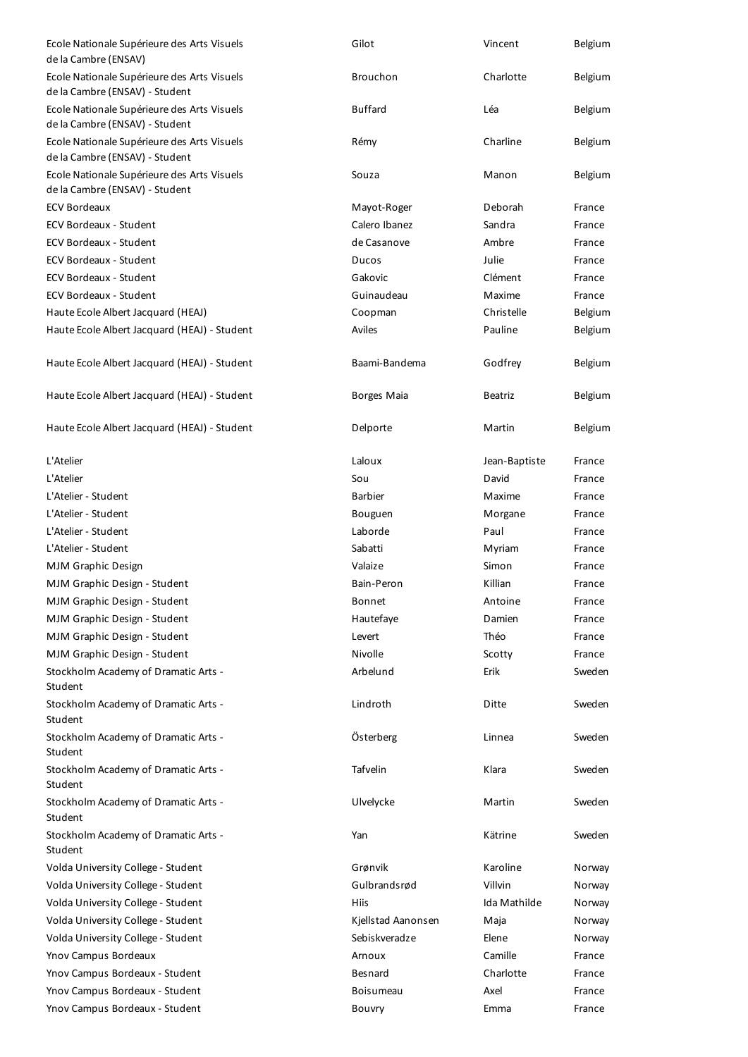| Ecole Nationale Supérieure des Arts Visuels<br>de la Cambre (ENSAV)           | Gilot              | Vincent        | Belgium |
|-------------------------------------------------------------------------------|--------------------|----------------|---------|
| Ecole Nationale Supérieure des Arts Visuels<br>de la Cambre (ENSAV) - Student | Brouchon           | Charlotte      | Belgium |
| Ecole Nationale Supérieure des Arts Visuels<br>de la Cambre (ENSAV) - Student | <b>Buffard</b>     | Léa            | Belgium |
| Ecole Nationale Supérieure des Arts Visuels<br>de la Cambre (ENSAV) - Student | Rémy               | Charline       | Belgium |
| Ecole Nationale Supérieure des Arts Visuels<br>de la Cambre (ENSAV) - Student | Souza              | Manon          | Belgium |
| <b>ECV Bordeaux</b>                                                           | Mayot-Roger        | Deborah        | France  |
| <b>ECV Bordeaux - Student</b>                                                 | Calero Ibanez      | Sandra         | France  |
| <b>ECV Bordeaux - Student</b>                                                 | de Casanove        | Ambre          | France  |
| <b>ECV Bordeaux - Student</b>                                                 | Ducos              | Julie          | France  |
| <b>ECV Bordeaux - Student</b>                                                 | Gakovic            | Clément        | France  |
| <b>ECV Bordeaux - Student</b>                                                 | Guinaudeau         | Maxime         | France  |
| Haute Ecole Albert Jacquard (HEAJ)                                            | Coopman            | Christelle     | Belgium |
| Haute Ecole Albert Jacquard (HEAJ) - Student                                  | Aviles             | Pauline        | Belgium |
| Haute Ecole Albert Jacquard (HEAJ) - Student                                  | Baami-Bandema      | Godfrey        | Belgium |
| Haute Ecole Albert Jacquard (HEAJ) - Student                                  | Borges Maia        | <b>Beatriz</b> | Belgium |
| Haute Ecole Albert Jacquard (HEAJ) - Student                                  | Delporte           | Martin         | Belgium |
| L'Atelier                                                                     | Laloux             | Jean-Baptiste  | France  |
| L'Atelier                                                                     | Sou                | David          | France  |
| L'Atelier - Student                                                           | <b>Barbier</b>     | Maxime         | France  |
| L'Atelier - Student                                                           | Bouguen            | Morgane        | France  |
| L'Atelier - Student                                                           | Laborde            | Paul           | France  |
| L'Atelier - Student                                                           | Sabatti            | Myriam         | France  |
| MJM Graphic Design                                                            | Valaize            | Simon          | France  |
| MJM Graphic Design - Student                                                  | Bain-Peron         | Killian        | France  |
| MJM Graphic Design - Student                                                  | Bonnet             | Antoine        | France  |
| MJM Graphic Design - Student                                                  | Hautefaye          | Damien         | France  |
| MJM Graphic Design - Student                                                  | Levert             | Théo           | France  |
| MJM Graphic Design - Student                                                  | <b>Nivolle</b>     | Scotty         | France  |
| Stockholm Academy of Dramatic Arts -<br>Student                               | Arbelund           | Erik           | Sweden  |
| Stockholm Academy of Dramatic Arts -<br>Student                               | Lindroth           | Ditte          | Sweden  |
| Stockholm Academy of Dramatic Arts -<br>Student                               | Österberg          | Linnea         | Sweden  |
| Stockholm Academy of Dramatic Arts -<br>Student                               | Tafvelin           | Klara          | Sweden  |
| Stockholm Academy of Dramatic Arts -<br>Student                               | Ulvelycke          | Martin         | Sweden  |
| Stockholm Academy of Dramatic Arts -<br>Student                               | Yan                | Kätrine        | Sweden  |
| Volda University College - Student                                            | Grønvik            | Karoline       | Norway  |
| Volda University College - Student                                            | Gulbrandsrød       | Villvin        | Norway  |
| Volda University College - Student                                            | Hiis               | Ida Mathilde   | Norway  |
| Volda University College - Student                                            | Kjellstad Aanonsen | Maja           | Norway  |
| Volda University College - Student                                            | Sebiskveradze      | Elene          | Norway  |
| Ynov Campus Bordeaux                                                          | Arnoux             | Camille        | France  |
| Ynov Campus Bordeaux - Student                                                | Besnard            | Charlotte      | France  |
| Ynov Campus Bordeaux - Student                                                | Boisumeau          | Axel           | France  |
| Ynov Campus Bordeaux - Student                                                | Bouvry             | Emma           | France  |
|                                                                               |                    |                |         |